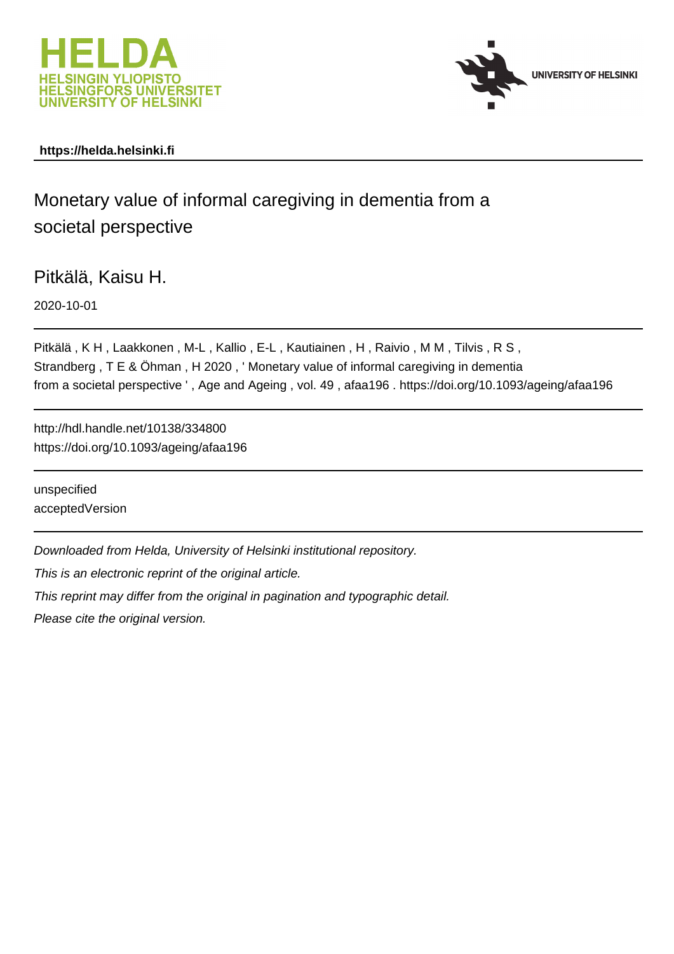



# **https://helda.helsinki.fi**

# Monetary value of informal caregiving in dementia from a societal perspective

Pitkälä, Kaisu H.

2020-10-01

Pitkälä , K H , Laakkonen , M-L , Kallio , E-L , Kautiainen , H , Raivio , M M , Tilvis , R S , Strandberg , T E & Öhman , H 2020 , ' Monetary value of informal caregiving in dementia from a societal perspective ' , Age and Ageing , vol. 49 , afaa196 . https://doi.org/10.1093/ageing/afaa196

http://hdl.handle.net/10138/334800 https://doi.org/10.1093/ageing/afaa196

unspecified acceptedVersion

Downloaded from Helda, University of Helsinki institutional repository.

This is an electronic reprint of the original article.

This reprint may differ from the original in pagination and typographic detail.

Please cite the original version.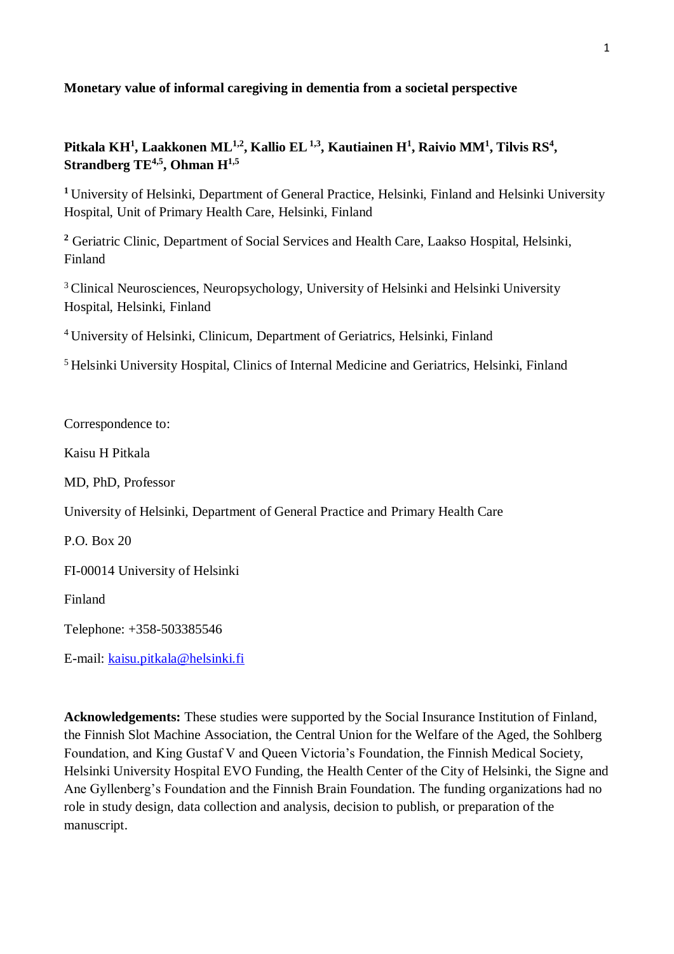# **Monetary value of informal caregiving in dementia from a societal perspective**

# **Pitkala KH<sup>1</sup> , Laakkonen ML1,2, Kallio EL1,3, Kautiainen H<sup>1</sup> , Raivio MM<sup>1</sup> , Tilvis RS<sup>4</sup> , Strandberg TE4,5, Ohman H1,5**

<sup>1</sup> University of Helsinki, Department of General Practice, Helsinki, Finland and Helsinki University Hospital, Unit of Primary Health Care, Helsinki, Finland

**<sup>2</sup>** Geriatric Clinic, Department of Social Services and Health Care, Laakso Hospital, Helsinki, Finland

<sup>3</sup> Clinical Neurosciences, Neuropsychology, University of Helsinki and Helsinki University Hospital, Helsinki, Finland

<sup>4</sup>University of Helsinki, Clinicum, Department of Geriatrics, Helsinki, Finland

<sup>5</sup> Helsinki University Hospital, Clinics of Internal Medicine and Geriatrics, Helsinki, Finland

Correspondence to:

Kaisu H Pitkala

MD, PhD, Professor

University of Helsinki, Department of General Practice and Primary Health Care

 $P$  O. Box 20

FI-00014 University of Helsinki

Finland

Telephone: +358-503385546

E-mail: [kaisu.pitkala@helsinki.fi](mailto:kaisu.pitkala@helsinki.fi)

**Acknowledgements:** These studies were supported by the Social Insurance Institution of Finland, the Finnish Slot Machine Association, the Central Union for the Welfare of the Aged, the Sohlberg Foundation, and King Gustaf V and Queen Victoria's Foundation, the Finnish Medical Society, Helsinki University Hospital EVO Funding, the Health Center of the City of Helsinki, the Signe and Ane Gyllenberg's Foundation and the Finnish Brain Foundation. The funding organizations had no role in study design, data collection and analysis, decision to publish, or preparation of the manuscript.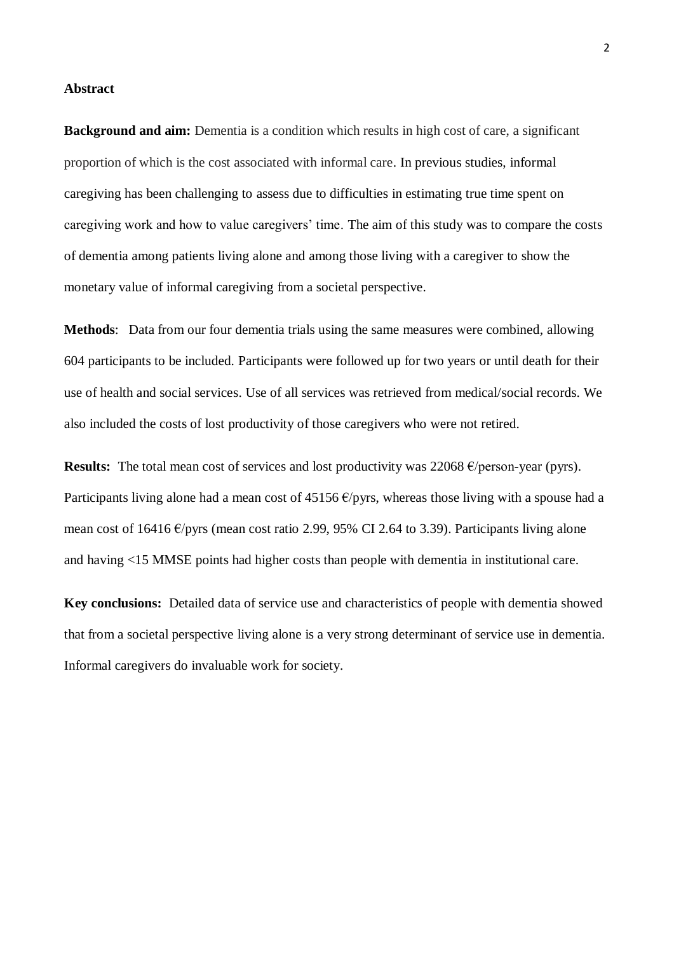#### **Abstract**

**Background and aim:** Dementia is a condition which results in high cost of care, a significant proportion of which is the cost associated with informal care. In previous studies, informal caregiving has been challenging to assess due to difficulties in estimating true time spent on caregiving work and how to value caregivers' time. The aim of this study was to compare the costs of dementia among patients living alone and among those living with a caregiver to show the monetary value of informal caregiving from a societal perspective.

**Methods**: Data from our four dementia trials using the same measures were combined, allowing 604 participants to be included. Participants were followed up for two years or until death for their use of health and social services. Use of all services was retrieved from medical/social records. We also included the costs of lost productivity of those caregivers who were not retired.

**Results:** The total mean cost of services and lost productivity was 22068 €/person-year (pyrs). Participants living alone had a mean cost of 45156  $\epsilon$ /pyrs, whereas those living with a spouse had a mean cost of 16416 €/pyrs (mean cost ratio 2.99, 95% CI 2.64 to 3.39). Participants living alone and having <15 MMSE points had higher costs than people with dementia in institutional care.

**Key conclusions:** Detailed data of service use and characteristics of people with dementia showed that from a societal perspective living alone is a very strong determinant of service use in dementia. Informal caregivers do invaluable work for society.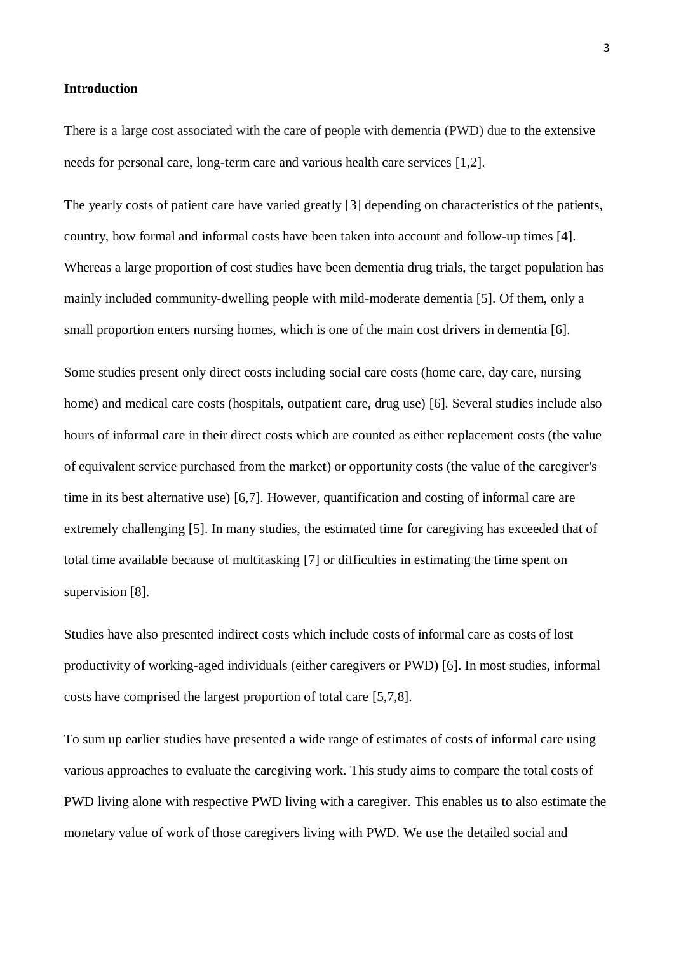#### **Introduction**

There is a large cost associated with the care of people with dementia (PWD) due to the extensive needs for personal care, long-term care and various health care services [1,2].

The yearly costs of patient care have varied greatly [3] depending on characteristics of the patients, country, how formal and informal costs have been taken into account and follow-up times [4]. Whereas a large proportion of cost studies have been dementia drug trials, the target population has mainly included community-dwelling people with mild-moderate dementia [5]. Of them, only a small proportion enters nursing homes, which is one of the main cost drivers in dementia [6].

Some studies present only direct costs including social care costs (home care, day care, nursing home) and medical care costs (hospitals, outpatient care, drug use) [6]. Several studies include also hours of informal care in their direct costs which are counted as either replacement costs (the value of equivalent service purchased from the market) or opportunity costs (the value of the caregiver's time in its best alternative use) [6,7]. However, quantification and costing of informal care are extremely challenging [5]. In many studies, the estimated time for caregiving has exceeded that of total time available because of multitasking [7] or difficulties in estimating the time spent on supervision [8].

Studies have also presented indirect costs which include costs of informal care as costs of lost productivity of working-aged individuals (either caregivers or PWD) [6]. In most studies, informal costs have comprised the largest proportion of total care [5,7,8].

To sum up earlier studies have presented a wide range of estimates of costs of informal care using various approaches to evaluate the caregiving work. This study aims to compare the total costs of PWD living alone with respective PWD living with a caregiver. This enables us to also estimate the monetary value of work of those caregivers living with PWD. We use the detailed social and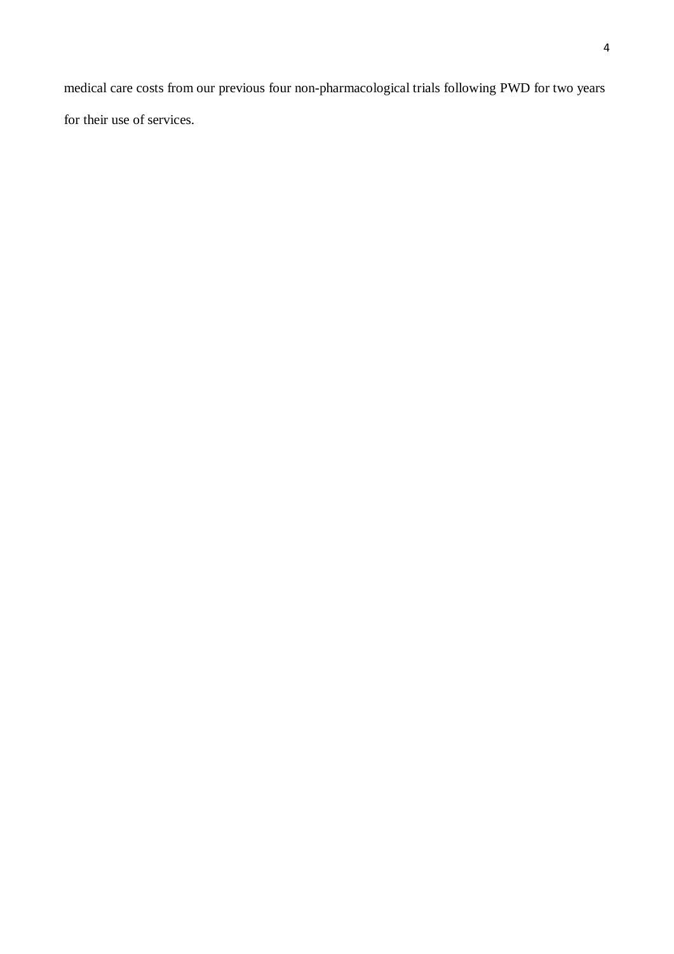medical care costs from our previous four non-pharmacological trials following PWD for two years for their use of services.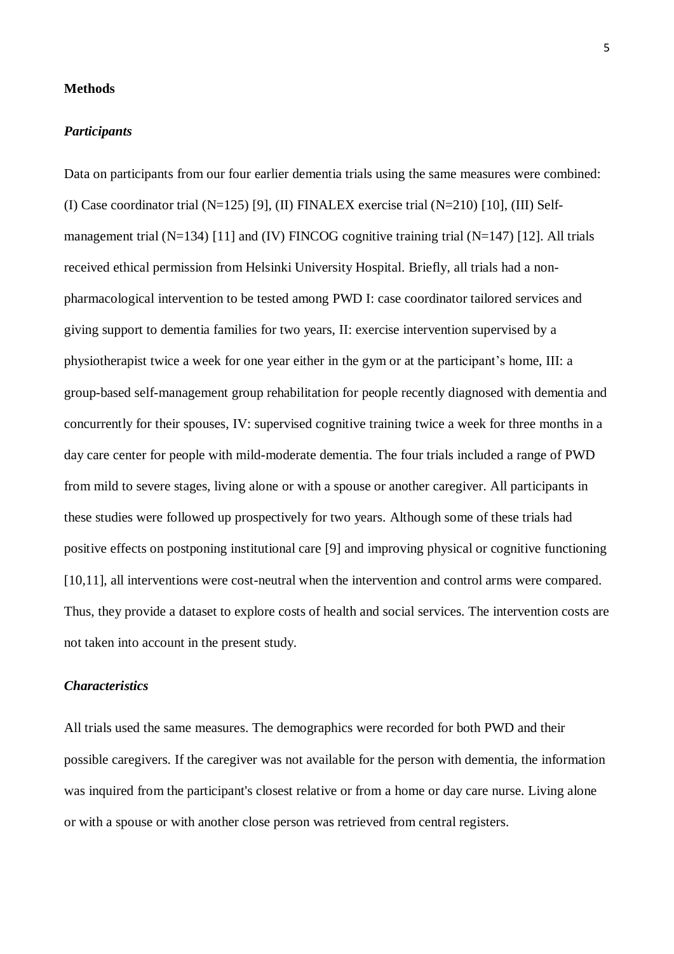#### **Methods**

#### *Participants*

Data on participants from our four earlier dementia trials using the same measures were combined: (I) Case coordinator trial (N=125) [9], (II) FINALEX exercise trial (N=210) [10], (III) Selfmanagement trial (N=134) [11] and (IV) FINCOG cognitive training trial (N=147) [12]. All trials received ethical permission from Helsinki University Hospital. Briefly, all trials had a nonpharmacological intervention to be tested among PWD I: case coordinator tailored services and giving support to dementia families for two years, II: exercise intervention supervised by a physiotherapist twice a week for one year either in the gym or at the participant's home, III: a group-based self-management group rehabilitation for people recently diagnosed with dementia and concurrently for their spouses, IV: supervised cognitive training twice a week for three months in a day care center for people with mild-moderate dementia. The four trials included a range of PWD from mild to severe stages, living alone or with a spouse or another caregiver. All participants in these studies were followed up prospectively for two years. Although some of these trials had positive effects on postponing institutional care [9] and improving physical or cognitive functioning [10,11], all interventions were cost-neutral when the intervention and control arms were compared. Thus, they provide a dataset to explore costs of health and social services. The intervention costs are not taken into account in the present study.

#### *Characteristics*

All trials used the same measures. The demographics were recorded for both PWD and their possible caregivers. If the caregiver was not available for the person with dementia, the information was inquired from the participant's closest relative or from a home or day care nurse. Living alone or with a spouse or with another close person was retrieved from central registers.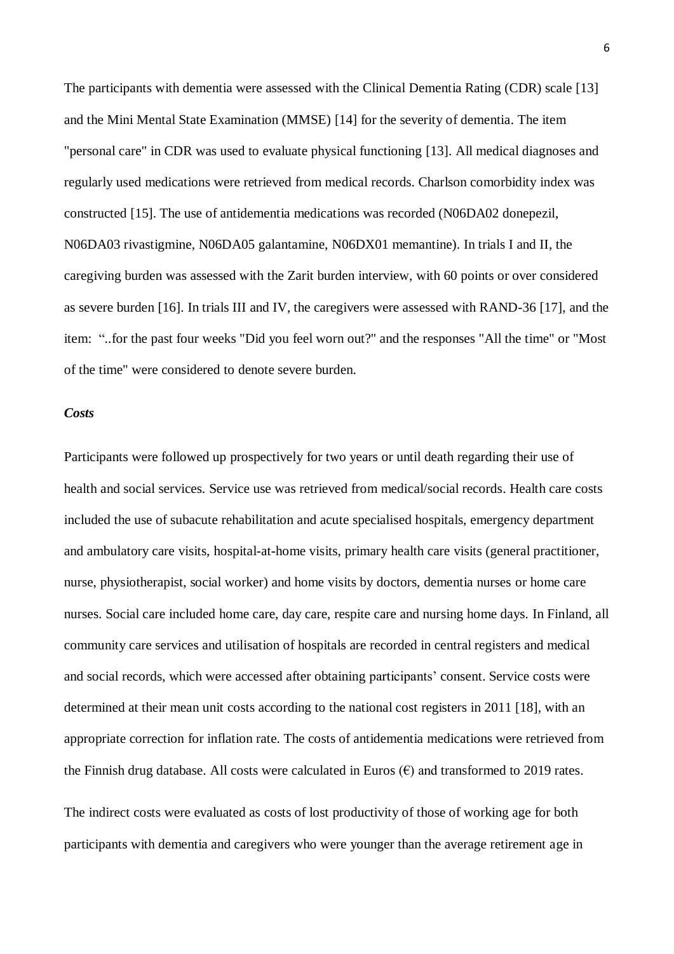The participants with dementia were assessed with the Clinical Dementia Rating (CDR) scale [13] and the Mini Mental State Examination (MMSE) [14] for the severity of dementia. The item "personal care" in CDR was used to evaluate physical functioning [13]. All medical diagnoses and regularly used medications were retrieved from medical records. Charlson comorbidity index was constructed [15]. The use of antidementia medications was recorded (N06DA02 donepezil, N06DA03 rivastigmine, N06DA05 galantamine, N06DX01 memantine). In trials I and II, the caregiving burden was assessed with the Zarit burden interview, with 60 points or over considered as severe burden [16]. In trials III and IV, the caregivers were assessed with RAND-36 [17], and the item: "..for the past four weeks "Did you feel worn out?" and the responses "All the time" or "Most of the time" were considered to denote severe burden.

#### *Costs*

Participants were followed up prospectively for two years or until death regarding their use of health and social services. Service use was retrieved from medical/social records. Health care costs included the use of subacute rehabilitation and acute specialised hospitals, emergency department and ambulatory care visits, hospital-at-home visits, primary health care visits (general practitioner, nurse, physiotherapist, social worker) and home visits by doctors, dementia nurses or home care nurses. Social care included home care, day care, respite care and nursing home days. In Finland, all community care services and utilisation of hospitals are recorded in central registers and medical and social records, which were accessed after obtaining participants' consent. Service costs were determined at their mean unit costs according to the national cost registers in 2011 [18], with an appropriate correction for inflation rate. The costs of antidementia medications were retrieved from the Finnish drug database. All costs were calculated in Euros  $(\epsilon)$  and transformed to 2019 rates.

The indirect costs were evaluated as costs of lost productivity of those of working age for both participants with dementia and caregivers who were younger than the average retirement age in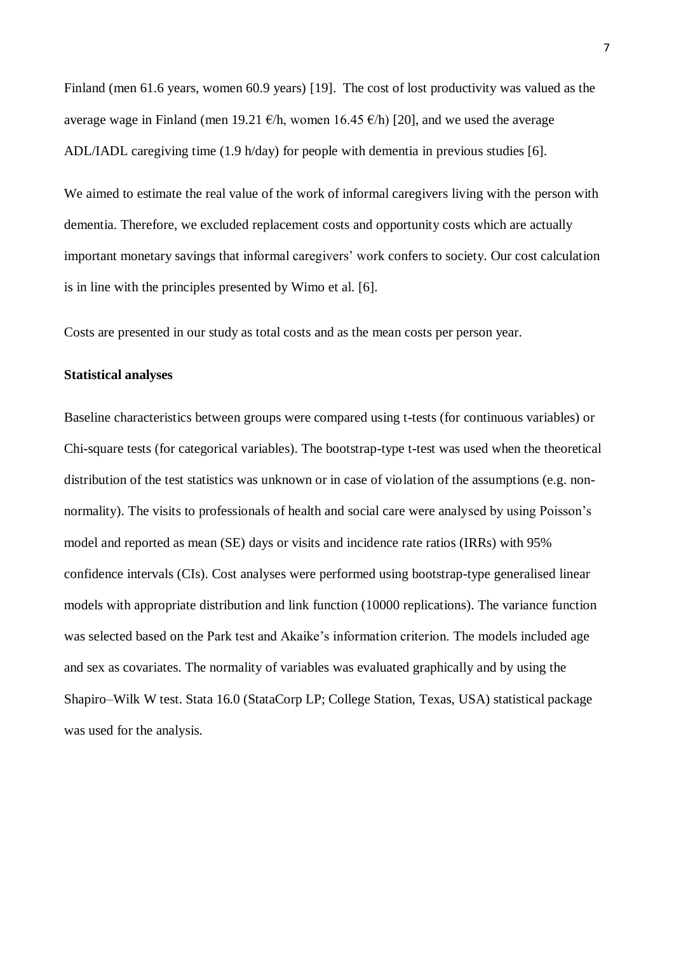Finland (men 61.6 years, women 60.9 years) [19]. The cost of lost productivity was valued as the average wage in Finland (men 19.21  $\epsilon/h$ , women 16.45  $\epsilon/h$ ) [20], and we used the average ADL/IADL caregiving time (1.9 h/day) for people with dementia in previous studies [6].

We aimed to estimate the real value of the work of informal caregivers living with the person with dementia. Therefore, we excluded replacement costs and opportunity costs which are actually important monetary savings that informal caregivers' work confers to society. Our cost calculation is in line with the principles presented by Wimo et al. [6].

Costs are presented in our study as total costs and as the mean costs per person year.

#### **Statistical analyses**

Baseline characteristics between groups were compared using t-tests (for continuous variables) or Chi-square tests (for categorical variables). The bootstrap-type t-test was used when the theoretical distribution of the test statistics was unknown or in case of violation of the assumptions (e.g. nonnormality). The visits to professionals of health and social care were analysed by using Poisson's model and reported as mean (SE) days or visits and incidence rate ratios (IRRs) with 95% confidence intervals (CIs). Cost analyses were performed using bootstrap-type generalised linear models with appropriate distribution and link function (10000 replications). The variance function was selected based on the Park test and Akaike's information criterion. The models included age and sex as covariates. The normality of variables was evaluated graphically and by using the Shapiro–Wilk W test. Stata 16.0 (StataCorp LP; College Station, Texas, USA) statistical package was used for the analysis.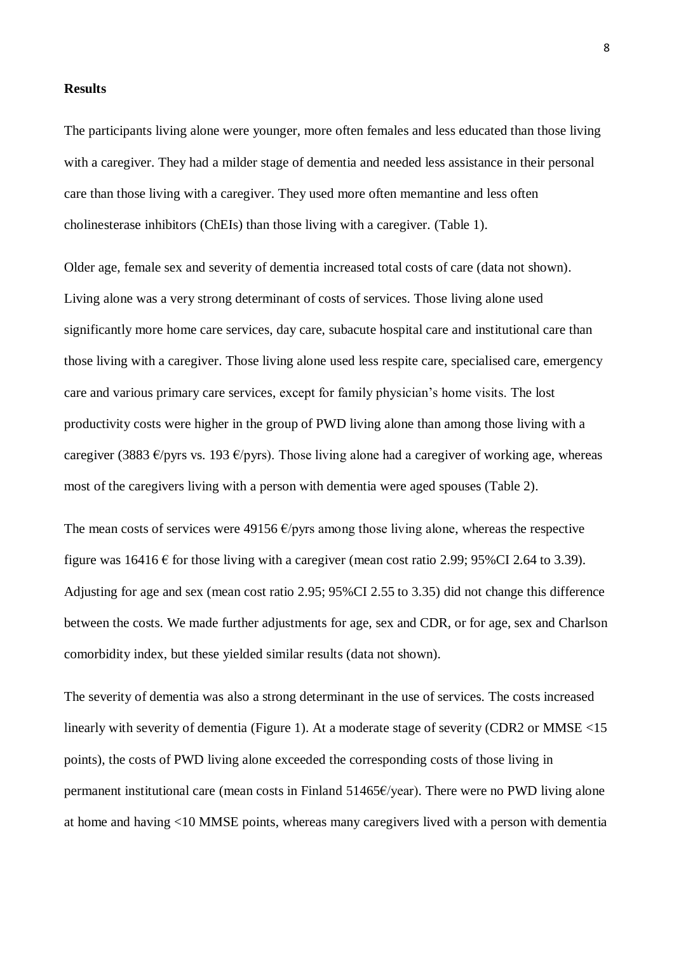#### **Results**

The participants living alone were younger, more often females and less educated than those living with a caregiver. They had a milder stage of dementia and needed less assistance in their personal care than those living with a caregiver. They used more often memantine and less often cholinesterase inhibitors (ChEIs) than those living with a caregiver. (Table 1).

Older age, female sex and severity of dementia increased total costs of care (data not shown). Living alone was a very strong determinant of costs of services. Those living alone used significantly more home care services, day care, subacute hospital care and institutional care than those living with a caregiver. Those living alone used less respite care, specialised care, emergency care and various primary care services, except for family physician's home visits. The lost productivity costs were higher in the group of PWD living alone than among those living with a caregiver (3883  $\epsilon$ /pyrs vs. 193  $\epsilon$ /pyrs). Those living alone had a caregiver of working age, whereas most of the caregivers living with a person with dementia were aged spouses (Table 2).

The mean costs of services were 49156  $\epsilon$ /pyrs among those living alone, whereas the respective figure was  $16416 \text{ } \in$  for those living with a caregiver (mean cost ratio 2.99; 95%CI 2.64 to 3.39). Adjusting for age and sex (mean cost ratio 2.95; 95%CI 2.55 to 3.35) did not change this difference between the costs. We made further adjustments for age, sex and CDR, or for age, sex and Charlson comorbidity index, but these yielded similar results (data not shown).

The severity of dementia was also a strong determinant in the use of services. The costs increased linearly with severity of dementia (Figure 1). At a moderate stage of severity (CDR2 or MMSE <15 points), the costs of PWD living alone exceeded the corresponding costs of those living in permanent institutional care (mean costs in Finland 51465€/year). There were no PWD living alone at home and having <10 MMSE points, whereas many caregivers lived with a person with dementia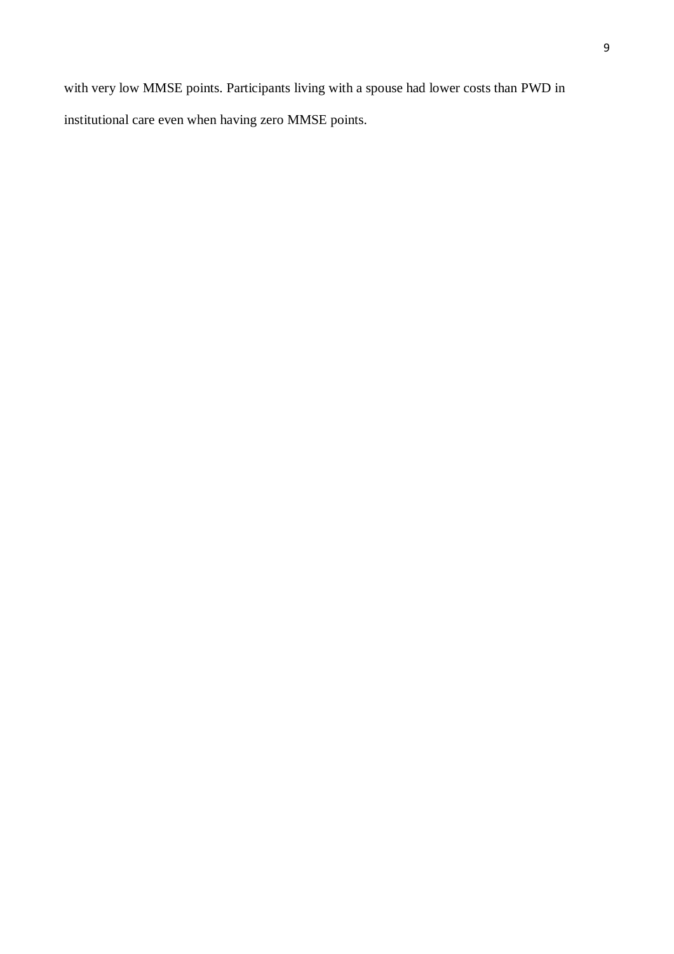with very low MMSE points. Participants living with a spouse had lower costs than PWD in institutional care even when having zero MMSE points.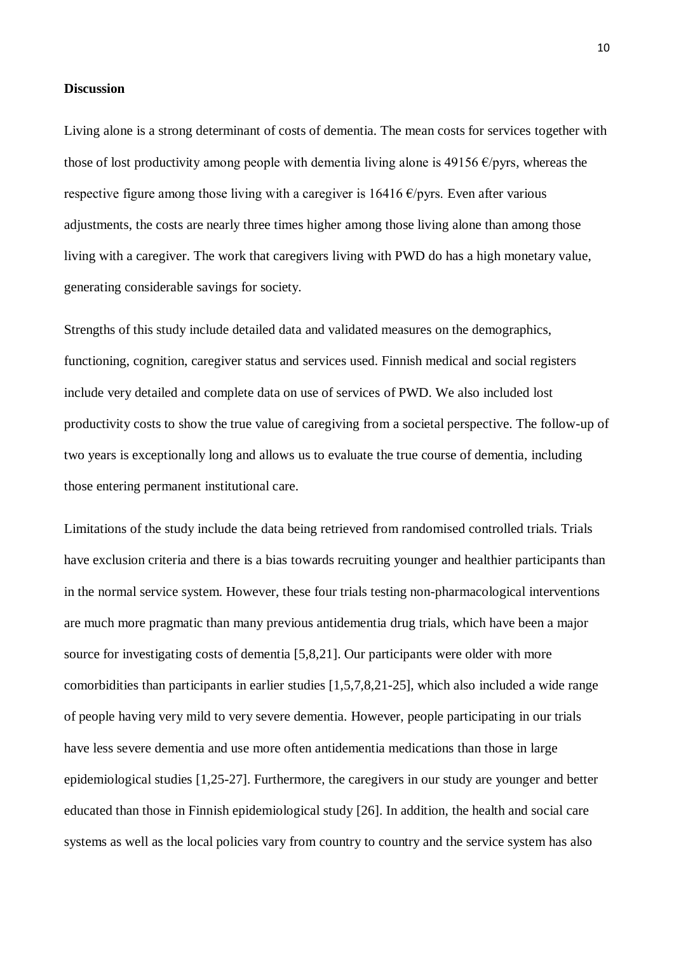#### **Discussion**

Living alone is a strong determinant of costs of dementia. The mean costs for services together with those of lost productivity among people with dementia living alone is 49156  $\epsilon$ /pyrs, whereas the respective figure among those living with a caregiver is  $16416 \text{ E/pyrs}$ . Even after various adjustments, the costs are nearly three times higher among those living alone than among those living with a caregiver. The work that caregivers living with PWD do has a high monetary value, generating considerable savings for society.

Strengths of this study include detailed data and validated measures on the demographics, functioning, cognition, caregiver status and services used. Finnish medical and social registers include very detailed and complete data on use of services of PWD. We also included lost productivity costs to show the true value of caregiving from a societal perspective. The follow-up of two years is exceptionally long and allows us to evaluate the true course of dementia, including those entering permanent institutional care.

Limitations of the study include the data being retrieved from randomised controlled trials. Trials have exclusion criteria and there is a bias towards recruiting younger and healthier participants than in the normal service system. However, these four trials testing non-pharmacological interventions are much more pragmatic than many previous antidementia drug trials, which have been a major source for investigating costs of dementia [5,8,21]. Our participants were older with more comorbidities than participants in earlier studies [1,5,7,8,21-25], which also included a wide range of people having very mild to very severe dementia. However, people participating in our trials have less severe dementia and use more often antidementia medications than those in large epidemiological studies [1,25-27]. Furthermore, the caregivers in our study are younger and better educated than those in Finnish epidemiological study [26]. In addition, the health and social care systems as well as the local policies vary from country to country and the service system has also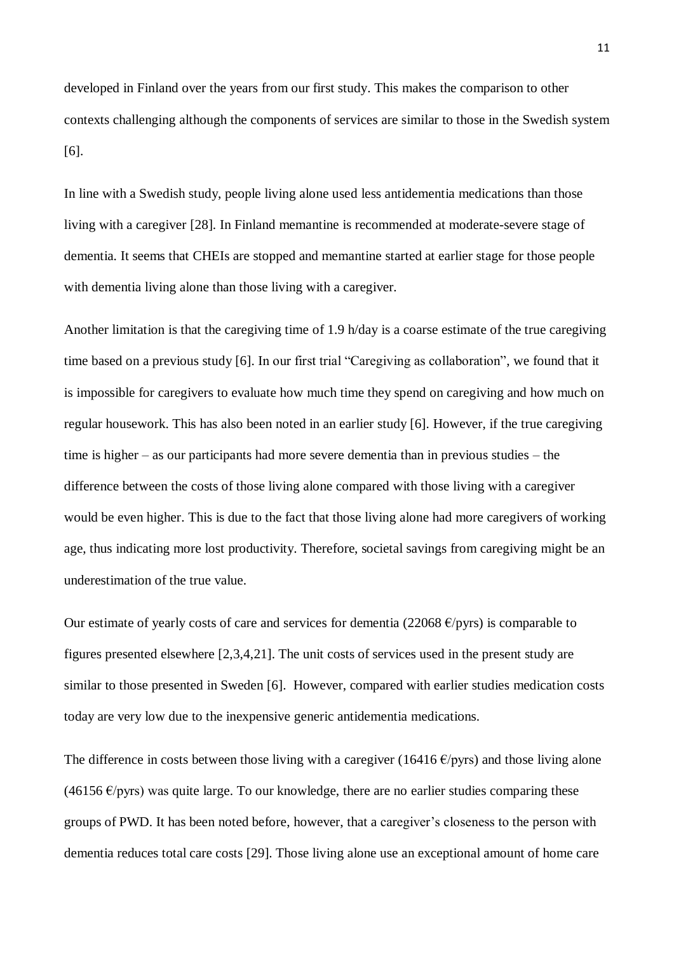developed in Finland over the years from our first study. This makes the comparison to other contexts challenging although the components of services are similar to those in the Swedish system [6].

In line with a Swedish study, people living alone used less antidementia medications than those living with a caregiver [28]. In Finland memantine is recommended at moderate-severe stage of dementia. It seems that CHEIs are stopped and memantine started at earlier stage for those people with dementia living alone than those living with a caregiver.

Another limitation is that the caregiving time of 1.9 h/day is a coarse estimate of the true caregiving time based on a previous study [6]. In our first trial "Caregiving as collaboration", we found that it is impossible for caregivers to evaluate how much time they spend on caregiving and how much on regular housework. This has also been noted in an earlier study [6]. However, if the true caregiving time is higher – as our participants had more severe dementia than in previous studies – the difference between the costs of those living alone compared with those living with a caregiver would be even higher. This is due to the fact that those living alone had more caregivers of working age, thus indicating more lost productivity. Therefore, societal savings from caregiving might be an underestimation of the true value.

Our estimate of yearly costs of care and services for dementia (22068  $\epsilon$ /pyrs) is comparable to figures presented elsewhere [2,3,4,21]. The unit costs of services used in the present study are similar to those presented in Sweden [6]. However, compared with earlier studies medication costs today are very low due to the inexpensive generic antidementia medications.

The difference in costs between those living with a caregiver (16416  $\epsilon$ /pyrs) and those living alone  $(46156 \text{ E/pyrs})$  was quite large. To our knowledge, there are no earlier studies comparing these groups of PWD. It has been noted before, however, that a caregiver's closeness to the person with dementia reduces total care costs [29]. Those living alone use an exceptional amount of home care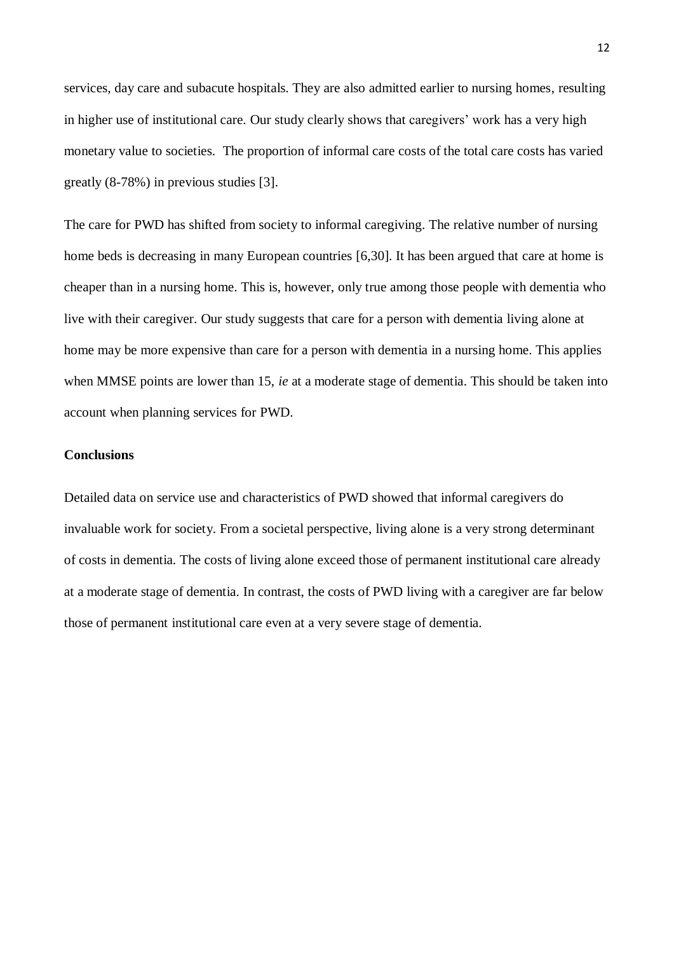services, day care and subacute hospitals. They are also admitted earlier to nursing homes, resulting in higher use of institutional care. Our study clearly shows that caregivers' work has a very high monetary value to societies. The proportion of informal care costs of the total care costs has varied greatly (8-78%) in previous studies [3].

The care for PWD has shifted from society to informal caregiving. The relative number of nursing home beds is decreasing in many European countries [6,30]. It has been argued that care at home is cheaper than in a nursing home. This is, however, only true among those people with dementia who live with their caregiver. Our study suggests that care for a person with dementia living alone at home may be more expensive than care for a person with dementia in a nursing home. This applies when MMSE points are lower than 15, *ie* at a moderate stage of dementia. This should be taken into account when planning services for PWD.

#### **Conclusions**

Detailed data on service use and characteristics of PWD showed that informal caregivers do invaluable work for society. From a societal perspective, living alone is a very strong determinant of costs in dementia. The costs of living alone exceed those of permanent institutional care already at a moderate stage of dementia. In contrast, the costs of PWD living with a caregiver are far below those of permanent institutional care even at a very severe stage of dementia.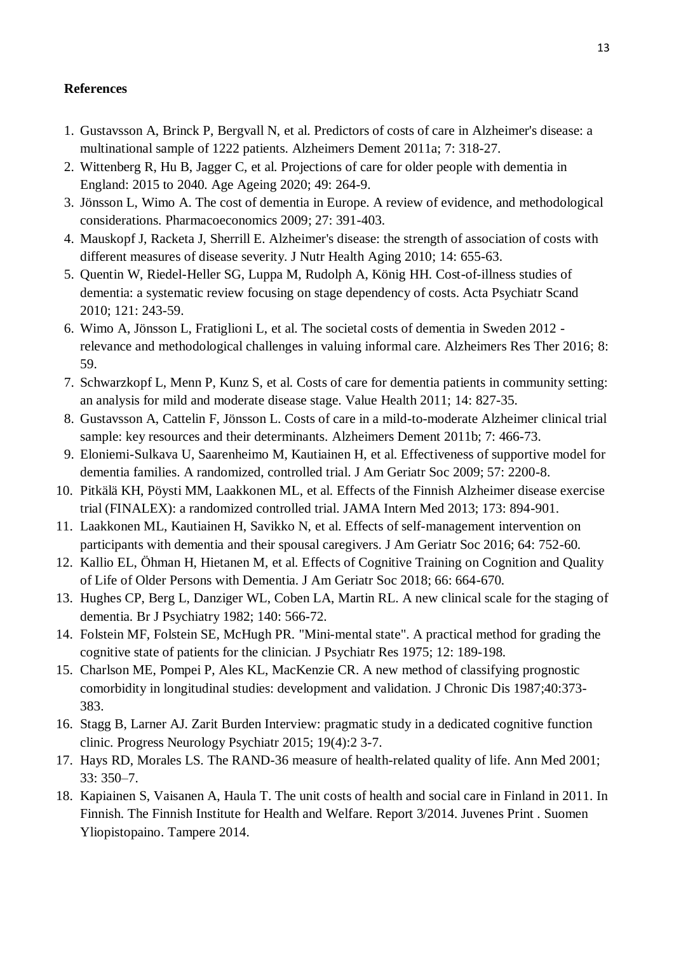## **References**

- 1. Gustavsson A, Brinck P, Bergvall N, et al. Predictors of costs of care in Alzheimer's disease: a multinational sample of 1222 patients. Alzheimers Dement 2011a; 7: 318-27.
- 2. Wittenberg R, Hu B, Jagger C, et al. Projections of care for older people with dementia in England: 2015 to 2040. Age Ageing 2020; 49: 264-9.
- 3. Jönsson L, Wimo A. The cost of dementia in Europe. A review of evidence, and methodological considerations. Pharmacoeconomics 2009; 27: 391-403.
- 4. Mauskopf J, Racketa J, Sherrill E. Alzheimer's disease: the strength of association of costs with different measures of disease severity. J Nutr Health Aging 2010; 14: 655-63.
- 5. Quentin W, Riedel-Heller SG, Luppa M, Rudolph A, König HH. Cost-of-illness studies of dementia: a systematic review focusing on stage dependency of costs. Acta Psychiatr Scand 2010; 121: 243-59.
- 6. Wimo A, Jönsson L, Fratiglioni L, et al. The societal costs of dementia in Sweden 2012 relevance and methodological challenges in valuing informal care. Alzheimers Res Ther 2016; 8: 59.
- 7. Schwarzkopf L, Menn P, Kunz S, et al. Costs of care for dementia patients in community setting: an analysis for mild and moderate disease stage. Value Health 2011; 14: 827-35.
- 8. Gustavsson A, Cattelin F, Jönsson L. Costs of care in a mild-to-moderate Alzheimer clinical trial sample: key resources and their determinants. Alzheimers Dement 2011b; 7: 466-73.
- 9. Eloniemi-Sulkava U, Saarenheimo M, Kautiainen H, et al. Effectiveness of supportive model for dementia families. A randomized, controlled trial. J Am Geriatr Soc 2009; 57: 2200-8.
- 10. Pitkälä KH, Pöysti MM, Laakkonen ML, et al. Effects of the Finnish Alzheimer disease exercise trial (FINALEX): a randomized controlled trial. JAMA Intern Med 2013; 173: 894-901.
- 11. Laakkonen ML, Kautiainen H, Savikko N, et al. Effects of self-management intervention on participants with dementia and their spousal caregivers. J Am Geriatr Soc 2016; 64: 752-60.
- 12. Kallio EL, Öhman H, Hietanen M, et al. Effects of Cognitive Training on Cognition and Quality of Life of Older Persons with Dementia. J Am Geriatr Soc 2018; 66: 664-670.
- 13. Hughes CP, Berg L, Danziger WL, Coben LA, Martin RL. A new clinical scale for the staging of dementia. Br J Psychiatry 1982; 140: 566-72.
- 14. Folstein MF, Folstein SE, McHugh PR. "Mini-mental state". A practical method for grading the cognitive state of patients for the clinician. J Psychiatr Res 1975; 12: 189-198.
- 15. Charlson ME, Pompei P, Ales KL, MacKenzie CR. A new method of classifying prognostic comorbidity in longitudinal studies: development and validation. J Chronic Dis 1987;40:373- 383.
- 16. Stagg B, Larner AJ. Zarit Burden Interview: pragmatic study in a dedicated cognitive function clinic. Progress Neurology Psychiatr 2015; 19(4):2 3-7.
- 17. Hays RD, Morales LS. The RAND-36 measure of health-related quality of life. Ann Med 2001; 33: 350–7.
- 18. Kapiainen S, Vaisanen A, Haula T. The unit costs of health and social care in Finland in 2011. In Finnish. The Finnish Institute for Health and Welfare. Report 3/2014. Juvenes Print . Suomen Yliopistopaino. Tampere 2014.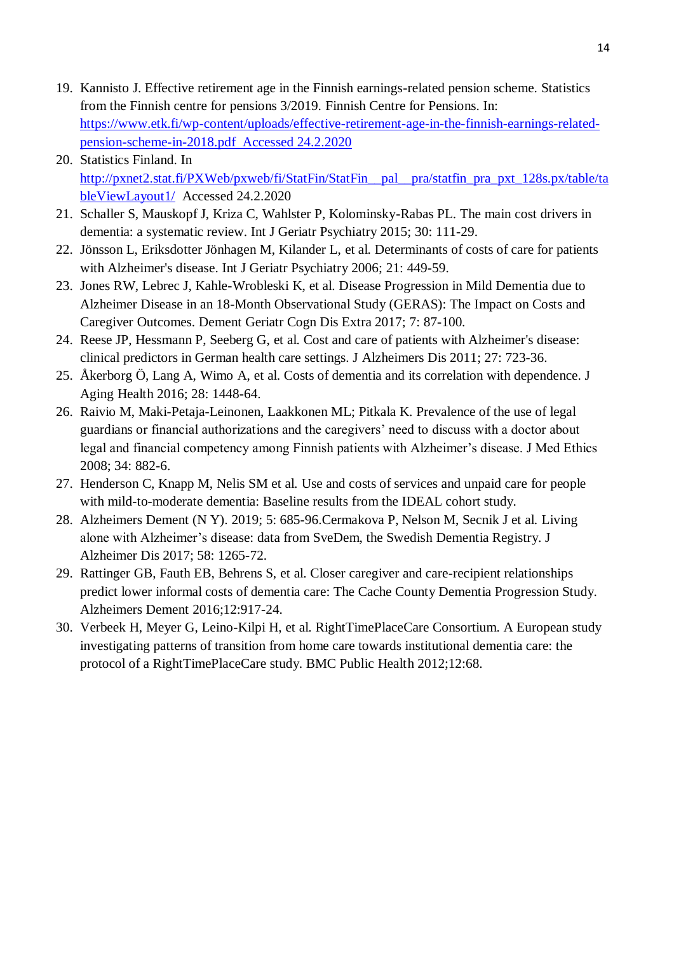- 19. Kannisto J. Effective retirement age in the Finnish earnings-related pension scheme. Statistics from the Finnish centre for pensions 3/2019. Finnish Centre for Pensions. In: https://www.etk.fi/wp-content/uploads/effective-retirement-age-in-the-finnish-earnings-relatedpension-scheme-in-2018.pdf Accessed 24.2.2020
- 20. Statistics Finland. In http://pxnet2.stat.fi/PXWeb/pxweb/fi/StatFin/StatFin\_\_pal\_\_pra/statfin\_pra\_pxt\_128s.px/table/ta bleViewLayout1/ Accessed 24.2.2020
- 21. Schaller S, Mauskopf J, Kriza C, Wahlster P, Kolominsky-Rabas PL. The main cost drivers in dementia: a systematic review. Int J Geriatr Psychiatry 2015; 30: 111-29.
- 22. Jönsson L, Eriksdotter Jönhagen M, Kilander L, et al. Determinants of costs of care for patients with Alzheimer's disease. Int J Geriatr Psychiatry 2006; 21: 449-59.
- 23. Jones RW, Lebrec J, Kahle-Wrobleski K, et al. Disease Progression in Mild Dementia due to Alzheimer Disease in an 18-Month Observational Study (GERAS): The Impact on Costs and Caregiver Outcomes. Dement Geriatr Cogn Dis Extra 2017; 7: 87-100.
- 24. Reese JP, Hessmann P, Seeberg G, et al. Cost and care of patients with Alzheimer's disease: clinical predictors in German health care settings. J Alzheimers Dis 2011; 27: 723-36.
- 25. Åkerborg Ö, Lang A, Wimo A, et al. Costs of dementia and its correlation with dependence. J Aging Health 2016; 28: 1448-64.
- 26. Raivio M, Maki-Petaja-Leinonen, Laakkonen ML; Pitkala K. Prevalence of the use of legal guardians or financial authorizations and the caregivers' need to discuss with a doctor about legal and financial competency among Finnish patients with Alzheimer's disease. J Med Ethics 2008; 34: 882-6.
- 27. Henderson C, Knapp M, Nelis SM et al. Use and costs of services and unpaid care for people with mild-to-moderate dementia: Baseline results from the IDEAL cohort study.
- 28. Alzheimers Dement (N Y). 2019; 5: 685-96.Cermakova P, Nelson M, Secnik J et al. Living alone with Alzheimer's disease: data from SveDem, the Swedish Dementia Registry. J Alzheimer Dis 2017; 58: 1265-72.
- 29. Rattinger GB, Fauth EB, Behrens S, et al. Closer caregiver and care-recipient relationships predict lower informal costs of dementia care: The Cache County Dementia Progression Study. Alzheimers Dement 2016;12:917-24.
- 30. Verbeek H, Meyer G, Leino-Kilpi H, et al. RightTimePlaceCare Consortium. A European study investigating patterns of transition from home care towards institutional dementia care: the protocol of a RightTimePlaceCare study. BMC Public Health 2012;12:68.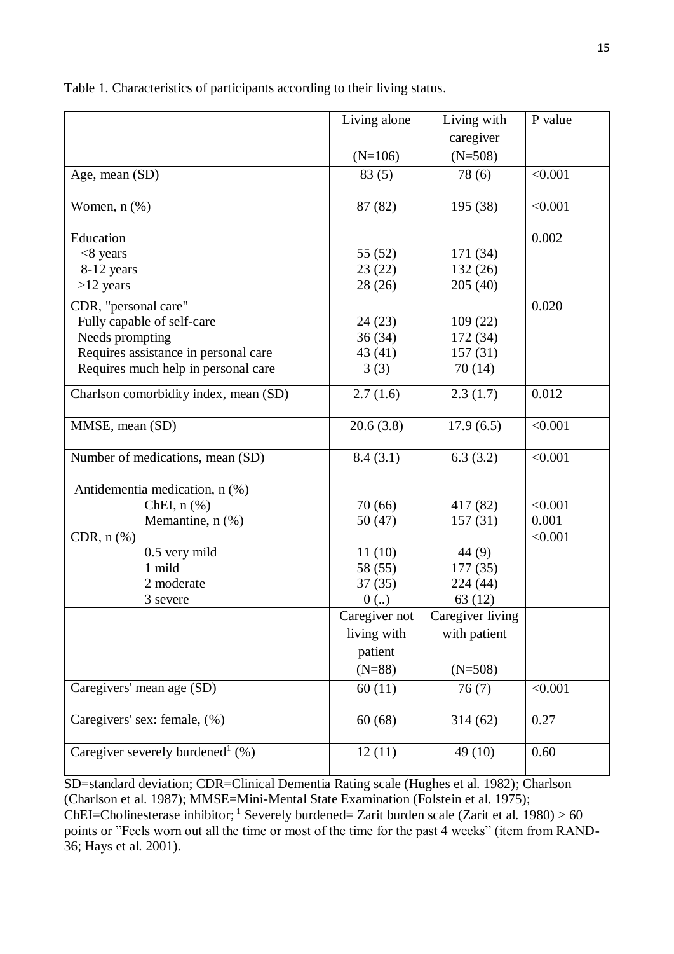|                                                 | Living alone  | Living with      |         |
|-------------------------------------------------|---------------|------------------|---------|
|                                                 |               | caregiver        |         |
|                                                 | $(N=106)$     | $(N=508)$        |         |
| Age, mean (SD)                                  | 83(5)         | 78(6)            | < 0.001 |
| Women, $n$ $(\%)$                               | 87 (82)       | 195 (38)         | < 0.001 |
| Education                                       |               |                  | 0.002   |
| $<8$ years                                      | 55 (52)       | 171 (34)         |         |
| 8-12 years                                      | 23(22)        | 132 (26)         |         |
| $>12$ years                                     | 28 (26)       | 205(40)          |         |
| CDR, "personal care"                            |               |                  | 0.020   |
| Fully capable of self-care                      | 24(23)        | 109(22)          |         |
| Needs prompting                                 | 36(34)        | 172 (34)         |         |
| Requires assistance in personal care            | 43 (41)       | 157(31)          |         |
| Requires much help in personal care             | 3(3)          | 70(14)           |         |
| Charlson comorbidity index, mean (SD)           | 2.7(1.6)      | 2.3(1.7)         | 0.012   |
| MMSE, mean (SD)                                 | 20.6(3.8)     | 17.9(6.5)        | < 0.001 |
| Number of medications, mean (SD)                | 8.4(3.1)      | 6.3(3.2)         | < 0.001 |
| Antidementia medication, n (%)                  |               |                  |         |
| ChEI, $n$ $(\%)$                                | 70(66)        | 417 (82)         | < 0.001 |
| Memantine, n (%)                                | 50(47)        | 157(31)          | 0.001   |
| CDR, $n$ $%$                                    |               |                  | < 0.001 |
| 0.5 very mild                                   | 11(10)        | 44 (9)           |         |
| 1 mild                                          | 58 (55)       | 177 (35)         |         |
| 2 moderate                                      | 37(35)        | 224 (44)         |         |
| 3 severe                                        | 0(.)          | 63(12)           |         |
|                                                 | Caregiver not | Caregiver living |         |
|                                                 | living with   | with patient     |         |
|                                                 | patient       |                  |         |
|                                                 | $(N=88)$      | $(N=508)$        |         |
| Caregivers' mean age (SD)                       | 60(11)        | 76(7)            | < 0.001 |
| Caregivers' sex: female, (%)                    | 60(68)        | 314(62)          | 0.27    |
| Caregiver severely burdened <sup>1</sup> $(\%)$ | 12(11)        | 49 (10)          | 0.60    |

Table 1. Characteristics of participants according to their living status.

SD=standard deviation; CDR=Clinical Dementia Rating scale (Hughes et al. 1982); Charlson (Charlson et al. 1987); MMSE=Mini-Mental State Examination (Folstein et al. 1975);

ChEI=Cholinesterase inhibitor; <sup>1</sup> Severely burdened= Zarit burden scale (Zarit et al. 1980) > 60 points or "Feels worn out all the time or most of the time for the past 4 weeks" (item from RAND-36; Hays et al. 2001).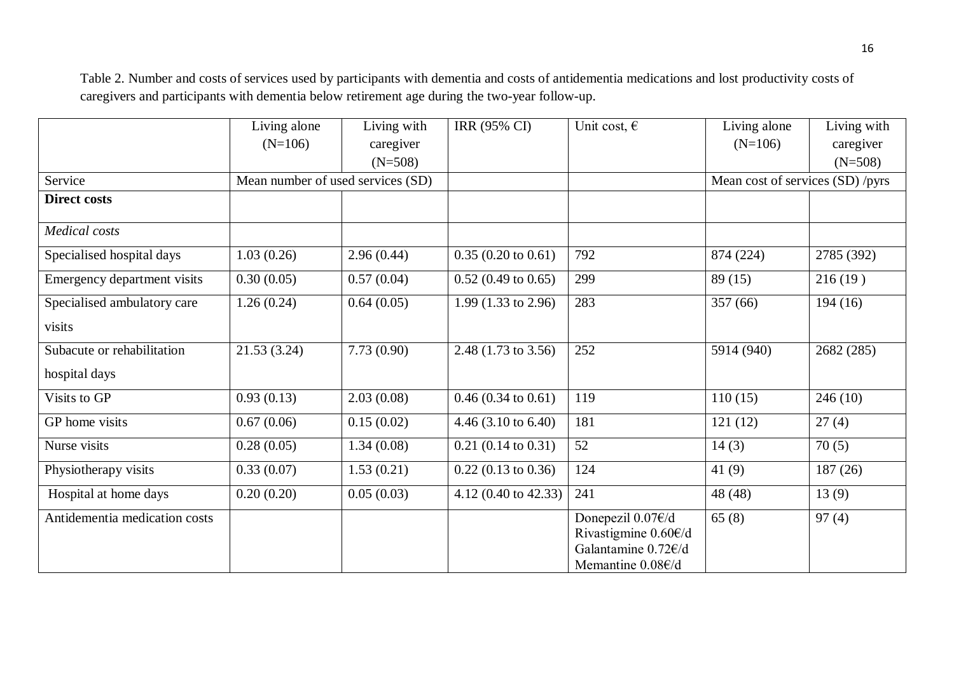Table 2. Number and costs of services used by participants with dementia and costs of antidementia medications and lost productivity costs of caregivers and participants with dementia below retirement age during the two-year follow-up.

|                               | Living alone                      | Living with | IRR (95% CI)                   | Unit cost, $\epsilon$                                                                              | Living alone                     | Living with |
|-------------------------------|-----------------------------------|-------------|--------------------------------|----------------------------------------------------------------------------------------------------|----------------------------------|-------------|
|                               | $(N=106)$                         | caregiver   |                                |                                                                                                    | $(N=106)$                        | caregiver   |
|                               |                                   | $(N=508)$   |                                |                                                                                                    |                                  | $(N=508)$   |
| Service                       | Mean number of used services (SD) |             |                                |                                                                                                    | Mean cost of services (SD) /pyrs |             |
| <b>Direct costs</b>           |                                   |             |                                |                                                                                                    |                                  |             |
| <b>Medical</b> costs          |                                   |             |                                |                                                                                                    |                                  |             |
| Specialised hospital days     | 1.03(0.26)                        | 2.96(0.44)  | $0.35(0.20 \text{ to } 0.61)$  | 792                                                                                                | 874 (224)                        | 2785 (392)  |
| Emergency department visits   | 0.30(0.05)                        | 0.57(0.04)  | $0.52$ (0.49 to 0.65)          | 299                                                                                                | 89(15)                           | 216(19)     |
| Specialised ambulatory care   | 1.26(0.24)                        | 0.64(0.05)  | 1.99 $(1.33 \text{ to } 2.96)$ | 283                                                                                                | 357 (66)                         | 194(16)     |
| visits                        |                                   |             |                                |                                                                                                    |                                  |             |
| Subacute or rehabilitation    | 21.53(3.24)                       | 7.73(0.90)  | 2.48 (1.73 to 3.56)            | 252                                                                                                | 5914 (940)                       | 2682 (285)  |
| hospital days                 |                                   |             |                                |                                                                                                    |                                  |             |
| Visits to GP                  | 0.93(0.13)                        | 2.03(0.08)  | $0.46(0.34 \text{ to } 0.61)$  | 119                                                                                                | 110(15)                          | 246(10)     |
| GP home visits                | 0.67(0.06)                        | 0.15(0.02)  | $4.46$ (3.10 to 6.40)          | 181                                                                                                | 121(12)                          | 27(4)       |
| Nurse visits                  | 0.28(0.05)                        | 1.34(0.08)  | $0.21$ (0.14 to 0.31)          | 52                                                                                                 | 14(3)                            | 70(5)       |
| Physiotherapy visits          | 0.33(0.07)                        | 1.53(0.21)  | $0.22$ (0.13 to 0.36)          | 124                                                                                                | 41 $(9)$                         | 187(26)     |
| Hospital at home days         | 0.20(0.20)                        | 0.05(0.03)  | 4.12 (0.40 to 42.33)           | 241                                                                                                | 48 (48)                          | 13(9)       |
| Antidementia medication costs |                                   |             |                                | Donepezil 0.07€/d<br>Rivastigmine $0.60 \in d$<br>Galantamine 0.72€/d<br>Memantine $0.08 \times d$ | 65(8)                            | 97(4)       |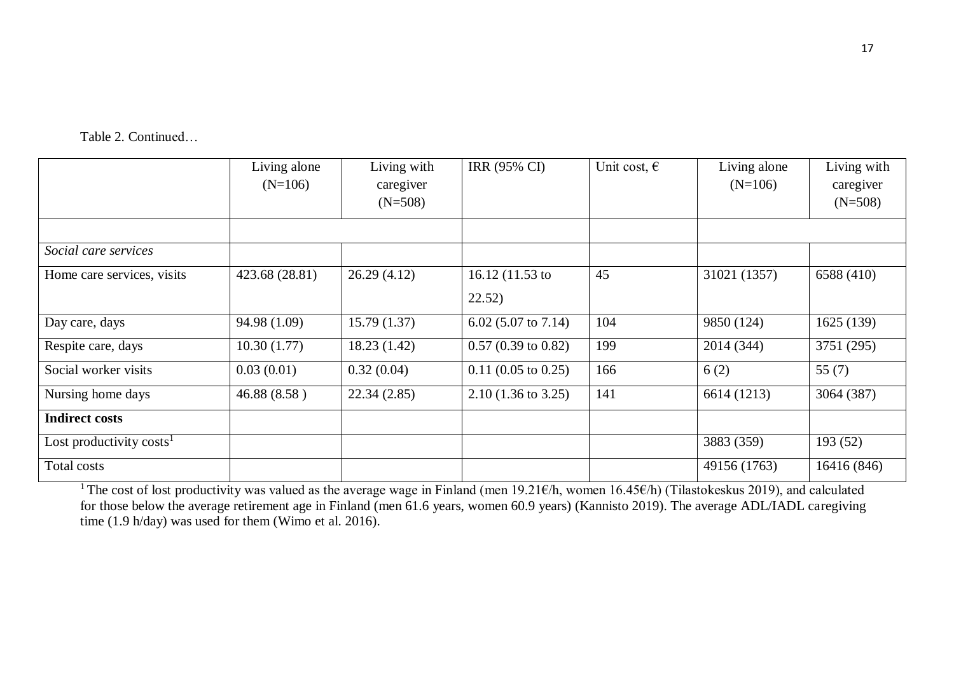Table 2. Continued…

|                            | Living alone<br>$(N=106)$ | Living with<br>caregiver<br>$(N=508)$ | IRR (95% CI)                  | Unit cost, $\epsilon$ | Living alone<br>$(N=106)$ | Living with<br>caregiver<br>$(N=508)$ |
|----------------------------|---------------------------|---------------------------------------|-------------------------------|-----------------------|---------------------------|---------------------------------------|
|                            |                           |                                       |                               |                       |                           |                                       |
| Social care services       |                           |                                       |                               |                       |                           |                                       |
| Home care services, visits | 423.68 (28.81)            | 26.29(4.12)                           | 16.12 $(11.53)$ to<br>22.52)  | 45                    | 31021 (1357)              | 6588 (410)                            |
| Day care, days             | 94.98 (1.09)              | 15.79(1.37)                           | 6.02 (5.07 to 7.14)           | 104                   | 9850 (124)                | 1625 (139)                            |
| Respite care, days         | 10.30(1.77)               | 18.23(1.42)                           | $0.57(0.39 \text{ to } 0.82)$ | 199                   | 2014 (344)                | 3751 (295)                            |
| Social worker visits       | 0.03(0.01)                | 0.32(0.04)                            | $0.11$ (0.05 to 0.25)         | 166                   | 6(2)                      | 55 $(7)$                              |
| Nursing home days          | 46.88 (8.58)              | 22.34(2.85)                           | $2.10(1.36 \text{ to } 3.25)$ | 141                   | 6614 (1213)               | 3064 (387)                            |
| <b>Indirect costs</b>      |                           |                                       |                               |                       |                           |                                       |
| Lost productivity $costs1$ |                           |                                       |                               |                       | 3883 (359)                | 193 (52)                              |
| Total costs                |                           |                                       |                               |                       | 49156 (1763)              | 16416 (846)                           |

<sup>1</sup>The cost of lost productivity was valued as the average wage in Finland (men 19.21€/h, women 16.45€/h) (Tilastokeskus 2019), and calculated for those below the average retirement age in Finland (men 61.6 years, women 60.9 years) (Kannisto 2019). The average ADL/IADL caregiving time (1.9 h/day) was used for them (Wimo et al. 2016).